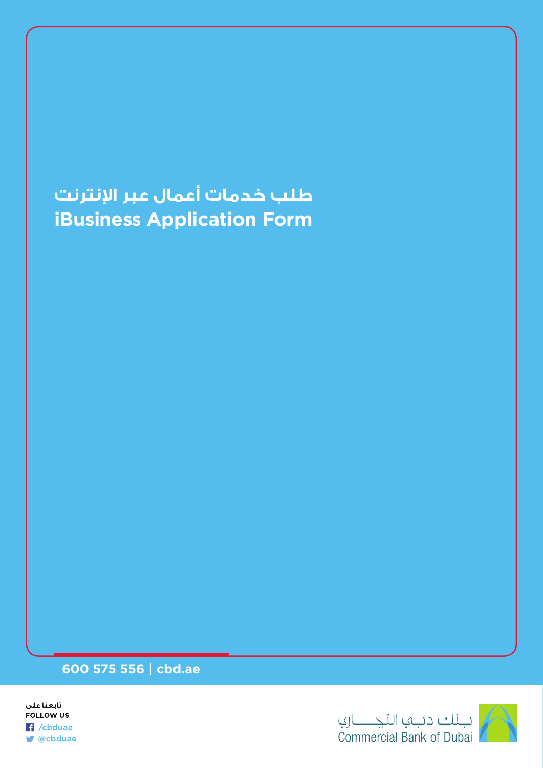## طلب خدمات أعمال عبر الإنترنت **iBusiness Application Form**

## **600 575 556 | cbd.ae**



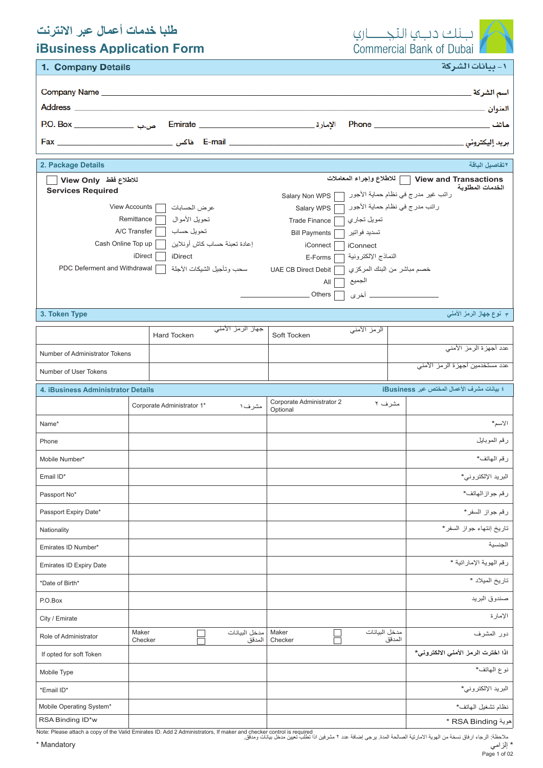## **طلبا خدمات أعمال عبر االنترنت**



١- بيانات الشركة

| <b>iBusiness Application Form</b> |
|-----------------------------------|
|-----------------------------------|

|  | 1. Company Details |
|--|--------------------|
|--|--------------------|

| Company Name <b>company</b> Name and the company of the company $\mathcal{L}$<br><b>Address Address</b>                                                                                                                                                                                          | اسم الشركة ِ<br>العنوان _<br>ماتف مستخدم العربي العربي العربي العربي العربي العربي العربي العربي العربي العربي العربي العربي العربي العربي<br>بريد إليكترون <i>ي</i> _                                                                                                                                                                                                                                          |
|--------------------------------------------------------------------------------------------------------------------------------------------------------------------------------------------------------------------------------------------------------------------------------------------------|-----------------------------------------------------------------------------------------------------------------------------------------------------------------------------------------------------------------------------------------------------------------------------------------------------------------------------------------------------------------------------------------------------------------|
| 2. Package Details                                                                                                                                                                                                                                                                               | ٢تفاصيل الباقة                                                                                                                                                                                                                                                                                                                                                                                                  |
| للاطلاع فقط View Only<br><b>Services Required</b><br><b>View Accounts</b><br>عرض الحسابات<br>تحويل الأمو ال<br>Remittance<br>تحويل حساب<br>A/C Transfer<br>إعادة تعبئة حساب كاش أونلاين<br>Cash Online Top up<br>iDirect<br>iDirect<br>PDC Deferment and Withdrawal<br>سحب وتأجيل الشيكات الآجلة | ] للاطلاع وإجراء المعاملات<br>View and Transactions<br>الخدمات المطلوبة<br>راتب غير مدرج في نظام حماية الأجور [<br>Salary Non WPS<br>ر اتب مدر ج في نظام حماية الأجور<br>Salary WPS<br>تمويل تجاري<br>Trade Finance<br>تسديد فو اتير<br><b>Bill Payments</b><br>iConnect<br><b>iConnect</b><br>النماذج الإلكتر ونية<br>E-Forms<br>خصم مباشر من البنك المركز ي<br>UAE CB Direct Debit<br>الجميع<br>All<br>Others |

**3. Token Type**

**٣ نوع جهاز الرمز األمني**

|                                                                                  |                  | <b>Hard Tocken</b>         | <del>جهاز الرمز الأمني</del> | Soft Tocken                           | الرمز الأمنى  |                                    |  |
|----------------------------------------------------------------------------------|------------------|----------------------------|------------------------------|---------------------------------------|---------------|------------------------------------|--|
| Number of Administrator Tokens                                                   |                  |                            |                              |                                       |               | عدد أجهزة الرمز الأمنى             |  |
|                                                                                  |                  |                            |                              |                                       |               | عدد مستخدمين أجهزة الرمز الأمنى    |  |
| Number of User Tokens                                                            |                  |                            |                              |                                       |               |                                    |  |
| £ بيانات مشرف الأعمال المختص عبر iBusiness<br>4. iBusiness Administrator Details |                  |                            |                              |                                       |               |                                    |  |
|                                                                                  |                  | Corporate Administrator 1* | مشرف۱                        | Corporate Administrator 2<br>Optional | مشرف ۲        |                                    |  |
| Name*                                                                            |                  |                            |                              |                                       |               | الاسم*                             |  |
| Phone                                                                            |                  |                            |                              |                                       |               | رقم الموبايل                       |  |
| Mobile Number*                                                                   |                  |                            |                              |                                       |               | رقم المهاتف*                       |  |
| Email ID*                                                                        |                  |                            |                              |                                       |               | البريد الإلكتروني*                 |  |
| Passport No*                                                                     |                  |                            |                              |                                       |               | رقم جواز الهاتف*                   |  |
| Passport Expiry Date*                                                            |                  |                            |                              |                                       |               | رقم جواز السفر*                    |  |
| Nationality                                                                      |                  |                            |                              |                                       |               | تاريخ إنتهاء جواز السفر*           |  |
| Emirates ID Number*                                                              |                  |                            |                              |                                       |               | الجنسية                            |  |
| Emirates ID Expiry Date                                                          |                  |                            |                              |                                       |               | رقم الهوية الإماراتية *            |  |
| *Date of Birth*                                                                  |                  |                            |                              |                                       |               | تاريخ الميلاد *                    |  |
| P.O.Box                                                                          |                  |                            |                              |                                       |               | صندوق البريد                       |  |
| City / Emirate                                                                   |                  |                            |                              |                                       |               | الإمارة                            |  |
| Role of Administrator                                                            | Maker<br>Checker |                            | مدخل البيانات<br>المدقق      | Maker<br>Checker                      | مدخل البيانات | دور المشرف<br>المدقق               |  |
| If opted for soft Token                                                          |                  |                            |                              |                                       |               | اذا اخترت الرمز الأمني الالكتروني* |  |
| Mobile Type                                                                      |                  |                            |                              |                                       |               | نوع الهاتف*                        |  |
| *Email ID*                                                                       |                  |                            |                              |                                       |               | البريد الإلكتروني*                 |  |
| Mobile Operating System*                                                         |                  |                            |                              |                                       |               | نظام تشغيل الهاتف*                 |  |
| RSA Binding ID*w                                                                 |                  |                            |                              |                                       |               | * RSA Binding *                    |  |

مالحظة: الرجاء ارفاق نسخة من الهوية الامارتية الصالحة المدة. برجي إضافة عدد ٢ مشرفين اذا تطلب تعيين مدخل بيانات ومدقق.<br>ملاحظة: الرجاء ارفاق نسخة من الهوية الامارتية الصالحة المدة. برجي إضافة عدد ٢ مشرفين اذا تطلب تعيين مد